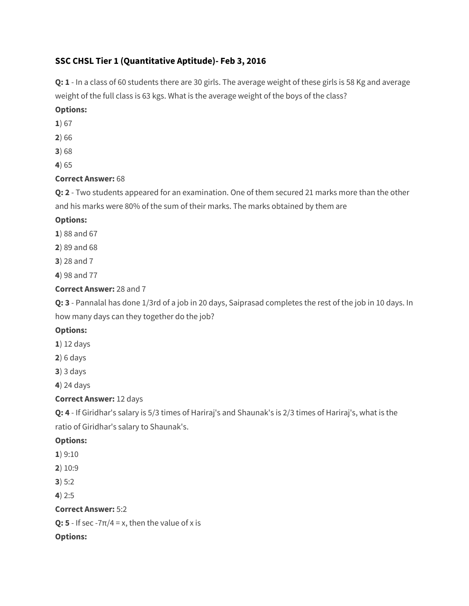# **SSC CHSL Tier 1 (Quantitative Aptitude)- Feb 3, 2016**

**Q: 1** - In a class of 60 students there are 30 girls. The average weight of these girls is 58 Kg and average weight of the full class is 63 kgs. What is the average weight of the boys of the class?

## **Options:**

- **1**) 67
- **2**) 66
- **3**) 68
- **4**) 65

# **Correct Answer:** 68

**Q: 2** - Two students appeared for an examination. One of them secured 21 marks more than the other and his marks were 80% of the sum of their marks. The marks obtained by them are

# **Options:**

- **1**) 88 and 67
- **2**) 89 and 68
- **3**) 28 and 7
- **4**) 98 and 77

# **Correct Answer:** 28 and 7

**Q: 3** - Pannalal has done 1/3rd of a job in 20 days, Saiprasad completes the rest of the job in 10 days. In how many days can they together do the job?

# **Options:**

- **1**) 12 days
- **2**) 6 days
- **3**) 3 days
- **4**) 24 days

# **Correct Answer:** 12 days

**Q: 4** - If Giridhar's salary is 5/3 times of Hariraj's and Shaunak's is 2/3 times of Hariraj's, what is the ratio of Giridhar's salary to Shaunak's.

# **Options:**

- **1**) 9:10
- **2**) 10:9

**3**) 5:2

**4**) 2:5

# **Correct Answer:** 5:2

**Q: 5** - If sec - $7\pi/4$  = x, then the value of x is

# **Options:**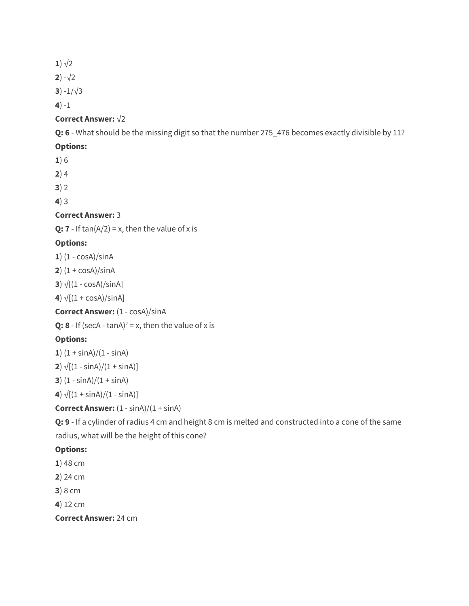**1** $\sqrt{2}$ 

**2**)  $-\sqrt{2}$ 

**3**)  $-1/\sqrt{3}$ 

**4**) -1

# **Correct Answer: √2**

**Q: 6** - What should be the missing digit so that the number 275\_476 becomes exactly divisible by 11?

## **Options:**

**1**) 6

**2**) 4

**3**) 2

**4**) 3

# **Correct Answer:** 3

**Q: 7** - If  $tan(A/2) = x$ , then the value of x is

# **Options:**

**1**) (1 - cosA)/sinA

**2**)  $(1 + \cos A)/\sin A$ 

**3**)  $\sqrt{[(1 - \cos A)/\sin A]}$ 

**4**)  $\sqrt{[(1 + \cos A)/\sin A]}$ 

**Correct Answer:** (1 - cosA)/sinA

**Q: 8** - If (secA -  $tan A$ )<sup>2</sup> = x, then the value of x is

# **Options:**

**1**)  $(1 + \sin A)/(1 - \sin A)$ 

**2**)  $\sqrt{[(1 - \sin A)/(1 + \sin A)]}$ 

**3**)  $(1 - \sin A)/(1 + \sin A)$ 

**4**)  $\sqrt{(1 + \sin A)/(1 - \sin A)}$ 

**Correct Answer:**  $(1 - \sin A)/(1 + \sin A)$ 

**Q: 9** - If a cylinder of radius 4 cm and height 8 cm is melted and constructed into a cone of the same radius, what will be the height of this cone?

### **Options:**

- **1**) 48 cm
- **2**) 24 cm
- **3**) 8 cm

**4**) 12 cm

**Correct Answer:** 24 cm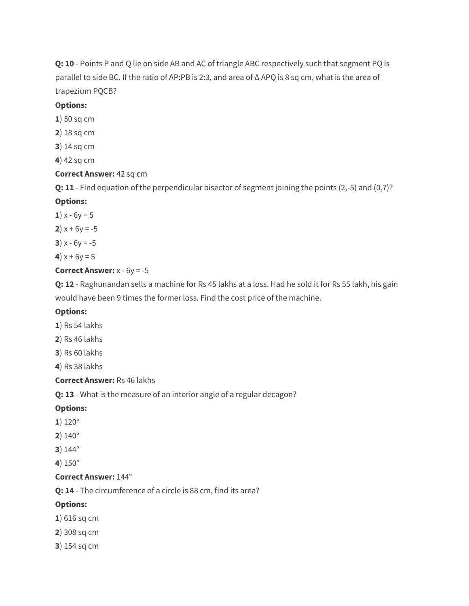**Q: 10** - Points P and Q lie on side AB and AC of triangle ABC respectively such that segment PQ is parallel to side BC. If the ratio of AP:PB is 2:3, and area of Δ APQ is 8 sq cm, what is the area of trapezium PQCB?

### **Options:**

- **1**) 50 sq cm
- **2**) 18 sq cm
- **3**) 14 sq cm
- **4**) 42 sq cm

### **Correct Answer:** 42 sq cm

**Q: 11** - Find equation of the perpendicular bisector of segment joining the points (2,-5) and (0,7)?

### **Options:**

- **1**)  $x 6y = 5$
- **2**)  $x + 6y = -5$
- **3**)  $x 6y = -5$
- **4**)  $x + 6y = 5$

### **Correct Answer:** x - 6y = -5

**Q: 12** - Raghunandan sells a machine for Rs 45 lakhs at a loss. Had he sold it for Rs 55 lakh, his gain would have been 9 times the former loss. Find the cost price of the machine.

### **Options:**

- **1**) Rs 54 lakhs
- **2**) Rs 46 lakhs
- **3**) Rs 60 lakhs

**4**) Rs 38 lakhs

#### **Correct Answer:** Rs 46 lakhs

**Q: 13** - What is the measure of an interior angle of a regular decagon?

#### **Options:**

- **1**) 120°
- **2**) 140°
- **3**) 144°
- **4**) 150°

#### **Correct Answer:** 144°

**Q: 14** - The circumference of a circle is 88 cm, find its area?

#### **Options:**

- **1**) 616 sq cm
- **2**) 308 sq cm
- **3**) 154 sq cm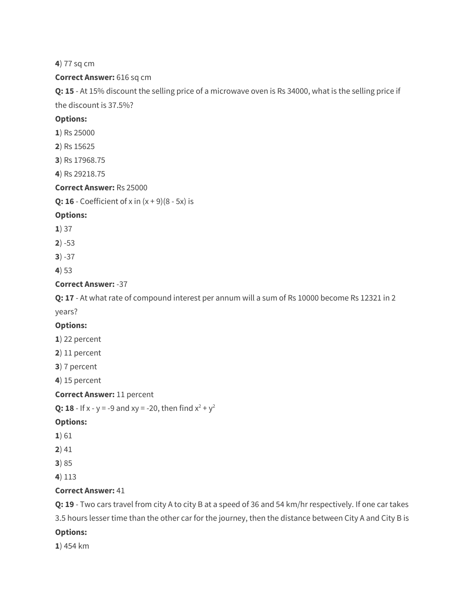**4**) 77 sq cm

#### **Correct Answer:** 616 sq cm

**Q: 15** - At 15% discount the selling price of a microwave oven is Rs 34000, what is the selling price if the discount is 37.5%?

#### **Options:**

- **1**) Rs 25000
- **2**) Rs 15625
- **3**) Rs 17968.75
- **4**) Rs 29218.75

#### **Correct Answer:** Rs 25000

**Q: 16** - Coefficient of x in  $(x + 9)(8 - 5x)$  is

#### **Options:**

- **1**) 37
- **2**) -53
- **3**) -37
- **4**) 53

### **Correct Answer:** -37

**Q: 17** - At what rate of compound interest per annum will a sum of Rs 10000 become Rs 12321 in 2 years?

#### **Options:**

- **1**) 22 percent
- **2**) 11 percent
- **3**) 7 percent

**4**) 15 percent

#### **Correct Answer:** 11 percent

```
Q: 18 - If x - y = -9 and xy = -20, then find x^2 + y^2
```
#### **Options:**

- **1**) 61
- **2**) 41
- **3**) 85
- **4**) 113

#### **Correct Answer:** 41

**Q: 19** - Two cars travel from city A to city B at a speed of 36 and 54 km/hr respectively. If one car takes 3.5 hours lesser time than the other car for the journey, then the distance between City A and City B is

### **Options:**

**1**) 454 km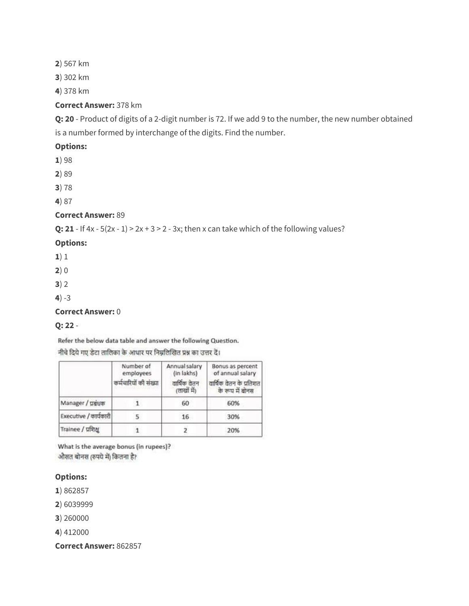**2**) 567 km

**3**) 302 km

**4**) 378 km

### **Correct Answer:** 378 km

**Q: 20** - Product of digits of a 2-digit number is 72. If we add 9 to the number, the new number obtained is a number formed by interchange of the digits. Find the number.

### **Options:**

**1**) 98

**2**) 89

**3**) 78

**4**) 87

### **Correct Answer:** 89

**Q: 21** - If  $4x - 5(2x - 1) > 2x + 3 > 2 - 3x$ ; then x can take which of the following values?

### **Options:**

**1**) 1

**2**) 0

**3**) 2

**4**) -3

**Correct Answer:** 0

### **Q: 22** -

Refer the below data table and answer the following Question.

नीचे दिये गए डेटा तालिका के आधार पर निम्नलिखित प्रश्न का उत्तर दें।

|                       | Number of<br>employees<br>कर्मचारियों की संख्या | Annual salary<br>(in lakhs)<br>वार्षिक वेतन<br>(लाखों में) | Bonus as percent<br>of annual salary<br>वार्षिक वेतन के प्रतिशत<br>के रूप में बोनस |
|-----------------------|-------------------------------------------------|------------------------------------------------------------|------------------------------------------------------------------------------------|
| Manager / ugua        |                                                 | 60                                                         | 60%                                                                                |
| Executive / कार्यकारी |                                                 | 16                                                         | 30%                                                                                |
| Trainee / प्रशिक्ष    |                                                 |                                                            | 20%                                                                                |

What is the average bonus (in rupees)? औसत बोनस (रुपये में) कितना है?

#### **Options:**

**1**) 862857

**2**) 6039999

**3**) 260000

**4**) 412000

**Correct Answer:** 862857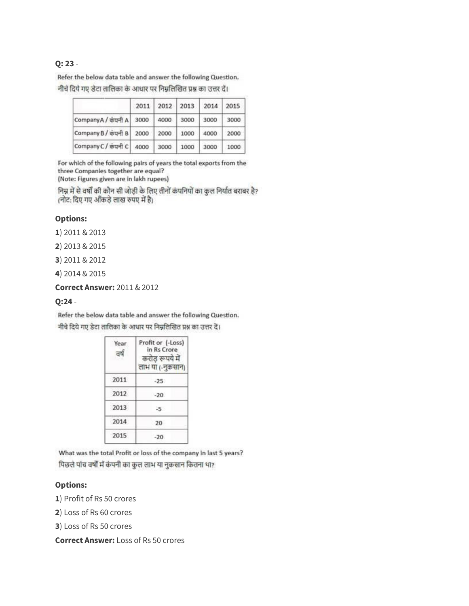#### **Q: 23** -

Refer the below data table and answer the following Question. नीचे दिये गए डेटा तालिका के आधार पर निम्नलिखित प्रश्न का उत्तर दें।

|                          | 2011 |      | 2012 2013 | 2014 | 2015 |
|--------------------------|------|------|-----------|------|------|
| CompanyA / कंपनी A       | 3000 | 4000 | 3000      | 3000 | 3000 |
| Company B / कंपनी B 2000 |      | 2000 | 1000      | 4000 | 2000 |
| Company C / कंपनी C      | 4000 | 3000 | 1000      | 3000 | 1000 |

For which of the following pairs of years the total exports from the three Companies together are equal? (Note: Figures given are in lakh rupees)

निम्न में से वर्षों की कौन सी जोड़ी के लिए तीनों कंपनियों का कुल निर्यात बराबर है? (नोट: दिए गए आँकड़े लाख रुपए में है)

#### **Options:**

**1**) 2011 & 2013

**2**) 2013 & 2015

- **3**) 2011 & 2012
- **4**) 2014 & 2015

**Correct Answer:** 2011 & 2012

#### **Q:24** -

Refer the below data table and answer the following Question. नीचे दिये गए डेटा तालिका के आधार पर निम्नलिखित प्रश्न का उत्तर दें।

| Year<br>ਰੁ | Profit or (-Loss)<br>in Rs Crore<br>करोड रूपये में<br>लाभ या (-नुकसान) |
|------------|------------------------------------------------------------------------|
| 2011       | $-25$                                                                  |
| 2012       | $-20.$                                                                 |
| 2013       | $-5$                                                                   |
| 2014       | 20                                                                     |
| 2015       | $-20.$                                                                 |

What was the total Profit or loss of the company in last 5 years? पिछले पांच वर्षों में कंपनी का कुल लाभ या नुकसान कितना था?

#### **Options:**

**1**) Profit of Rs 50 crores

**2**) Loss of Rs 60 crores

**3**) Loss of Rs 50 crores

**Correct Answer:** Loss of Rs 50 crores